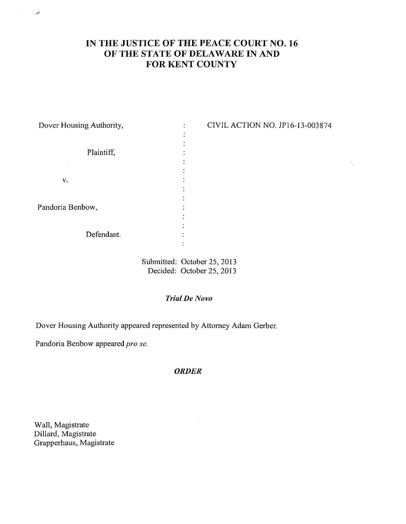# **IN THE JUSTICE OF THE PEACE COURT NO. 16 OF THE STATE OF DELAWARE IN AND FOR KENT COUNTY**

 $\mathcal{N}_{\rm{N}}$ 

| Dover Housing Authority, | ٠ | CIVIL ACTION NO. JP16-13-003874 |
|--------------------------|---|---------------------------------|
| Plaintiff,               |   |                                 |
|                          |   |                                 |
|                          |   |                                 |
|                          |   |                                 |
| v.                       |   |                                 |
|                          |   |                                 |
|                          |   |                                 |
| Pandoria Benbow,         |   |                                 |
|                          |   |                                 |
|                          |   |                                 |
| Defendant.               |   |                                 |
|                          |   |                                 |
|                          |   |                                 |
|                          |   |                                 |

Submitted: October 25, 2013 Decided: October 25, 2013

## *Trial De Now*

Dover Housing Authority appeared represented by Attorney Adam Gerber.

Pandoria Benbow appeared pro *se.*

#### *ORDER*

Wall, Magistrate Dillard, Magistrate Grapperhaus, Magistrate

المعربة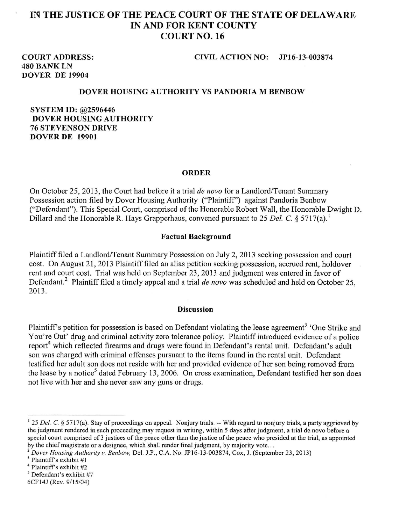## **IN THE JUSTICE OF THE PEACE COURT OF THE STATE OF DELAWARE IN AND FOR KENT COUNTY COURT NO. 16**

# **480 BANK LN DOVER DE 19904**

#### **COURT ADDRESS; CIVIL ACTION NO: JP16-13-003874**

#### **DOVER HOUSING AUTHORITY VS PANDORIA M BENBOW**

**SYSTEM ID: @2596446 DOVER HOUSING AUTHORITY 76 STEVENSON DRIVE DOVER DE 19901**

#### **ORDER**

On October 25, 2013, the Court had before it a trial *de novo* for a Landlord/Tenant Summary Possession action filed by Dover Housing Authority ("Plaintiff") against Pandoria Benbow ("Defendant"). This Special Court, comprised of the Honorable Robert Wall, the Honorable Dwight D. Dillard and the Honorable R. Hays Grapperhaus, convened pursuant to 25 Del. C. § 5717(a).<sup>1</sup>

#### **Factual Background**

Plaintiff filed a Landlord/Tenant Summary Possession on July 2, 2013 seeking possession and court cost. On August 21, 2013 Plaintiff filed an alias petition seeking possession, accrued rent, holdover rent and court cost. Trial was held on September 23, 2013 and judgment was entered in favor of Defendant.2 Plaintiff filed a timely appeal and a trial *de novo* was scheduled and held on October 25, 2013.

#### **Discussion**

Plaintiff's petition for possession is based on Defendant violating the lease agreement<sup>3</sup> 'One Strike and You're Out' drug and criminal activity zero tolerance policy. Plaintiff introduced evidence of a police report<sup>4</sup> which reflected firearms and drugs were found in Defendant's rental unit. Defendant's adult son was charged with criminal offenses pursuant to the items found in the rental unit. Defendant testified her adult son does not reside with her and provided evidence of her son being removed from the lease by a notice<sup>5</sup> dated February 13, 2006. On cross examination, Defendant testified her son does not live with her and she never saw any guns or drugs.

<sup>&</sup>lt;sup>1</sup> 25 *Del. C.* § 5717(a). Stay of proceedings on appeal. Nonjury trials. -- With regard to nonjury trials, a party aggrieved by the judgment rendered in such proceeding may request in writing, within 5 days after judgment, a trial dc novo before a special court comprised of 3 justices of the peace other than the justice of the peace who presided at the trial, as appointed by the chief magistrate or a dcsignee, which shall render final judgment, by majority vote...

*<sup>2</sup> Dover Housing Authority v. Benbow,* Del. J.P., C.A. No. JP16-13-003874, Cox, J. (September 23, 2013)

 $3$  Plaintiff's exhibit #1

<sup>4</sup> Plaintiffs exhibit #2

<sup>5</sup> Defendant's exhibit #7

<sup>6</sup>CF14J (Rev. 9/15/04)